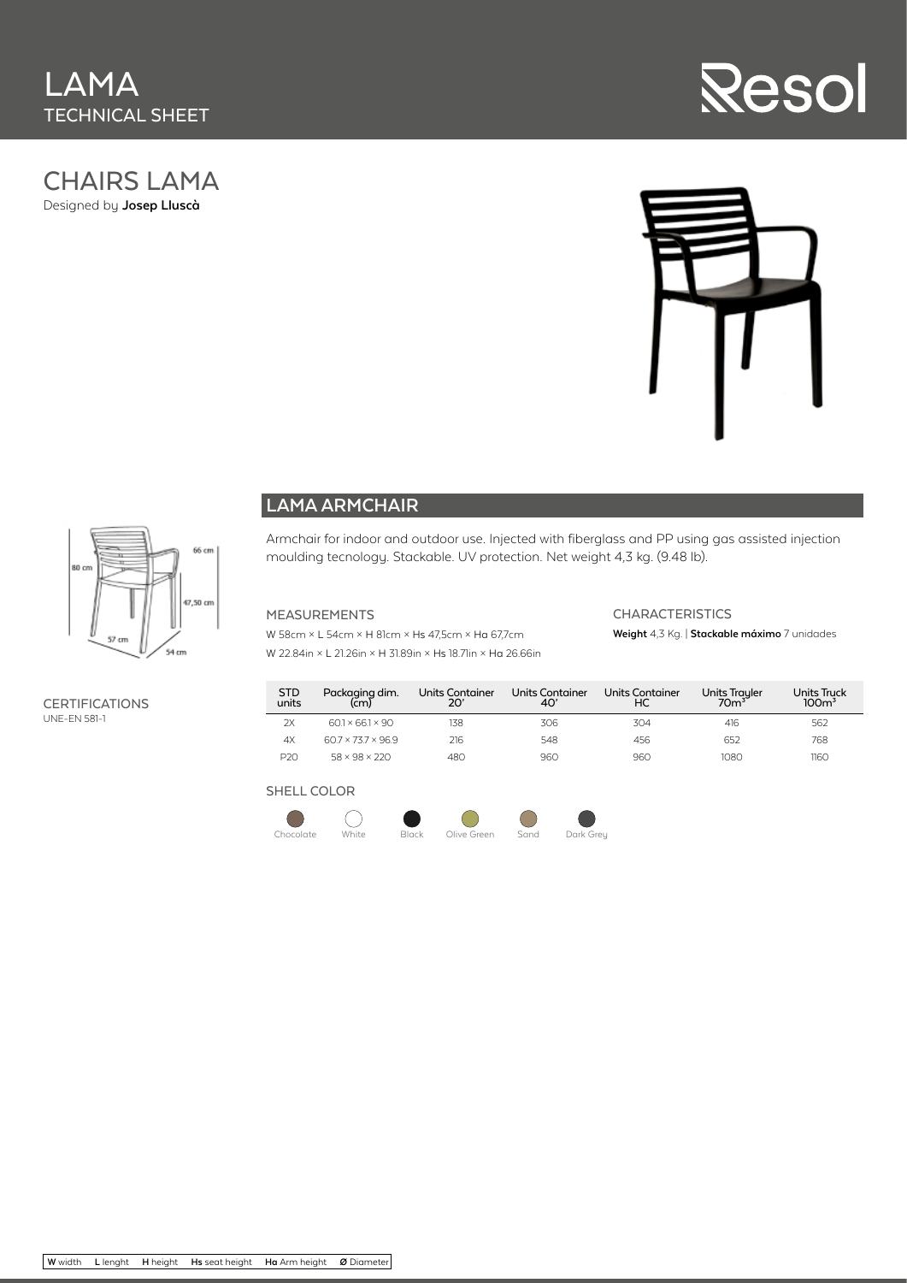# CHAIRS LAMA

Designed by **Josep Lluscà**





# 66 cm 80 cr .<br>07,50 cm 54 cm

**CERTIFICATIONS** UNE-EN 581-1

### **LAMA ARMCHAIR**

Armchair for indoor and outdoor use. Injected with fiberglass and PP using gas assisted injection moulding tecnology. Stackable. UV protection. Net weight 4,3 kg. (9.48 lb).

#### MEASUREMENTS

W 58cm × L 54cm × H 81cm × Hs 47,5cm × Ha 67,7cm

#### **CHARACTERISTICS Weight** 4,3 Kg. | **Stackable máximo** 7 unidades

W 22.84in × L 21.26in × H 31.89in × Hs 18.71in × Ha 26.66in

#### STD units Packaging dim. (cm) Units Container 20' Units Container 40' Units Container HC Units Trayler<br>70m<sup>3</sup> Units Truck<br>100m<sup>3</sup> 2X 60.1 × 66.1 × 90 138 306 304 416 562 4X 60.7 × 73.7 × 96.9 216 548 456 652 768 P20 58 × 98 × 220 480 960 960 1080 1160

#### SHELL COLOR